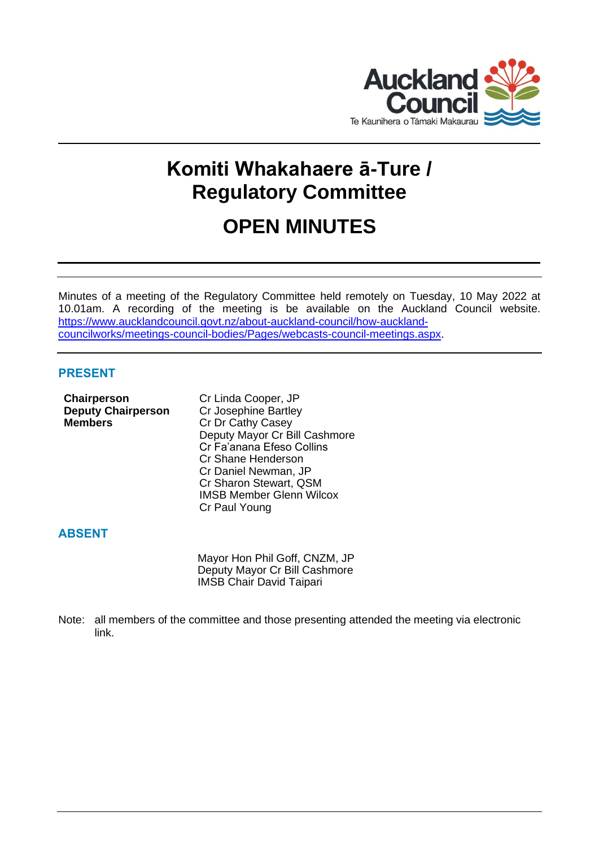

# **Komiti Whakahaere ā-Ture / Regulatory Committee**

# **OPEN MINUTES**

Minutes of a meeting of the Regulatory Committee held remotely on Tuesday, 10 May 2022 at 10.01am. A recording of the meeting is be available on the Auckland Council website. [https://www.aucklandcouncil.govt.nz/about-auckland-council/how-auckland](https://www.aucklandcouncil.govt.nz/about-auckland-council/how-auckland-councilworks/meetings-council-bodies/Pages/webcasts-council-meetings.aspx)[councilworks/meetings-council-bodies/Pages/webcasts-council-meetings.aspx.](https://www.aucklandcouncil.govt.nz/about-auckland-council/how-auckland-councilworks/meetings-council-bodies/Pages/webcasts-council-meetings.aspx)

# **PRESENT**

**Chairperson** Cr Linda Cooper, JP **Deputy Chairperson** Cr Josephine Bartley **Members** Cr Dr Cathy Casey

Deputy Mayor Cr Bill Cashmore Cr Fa'anana Efeso Collins Cr Shane Henderson Cr Daniel Newman, JP Cr Sharon Stewart, QSM IMSB Member Glenn Wilcox Cr Paul Young

# **ABSENT**

Mayor Hon Phil Goff, CNZM, JP Deputy Mayor Cr Bill Cashmore IMSB Chair David Taipari

Note: all members of the committee and those presenting attended the meeting via electronic link.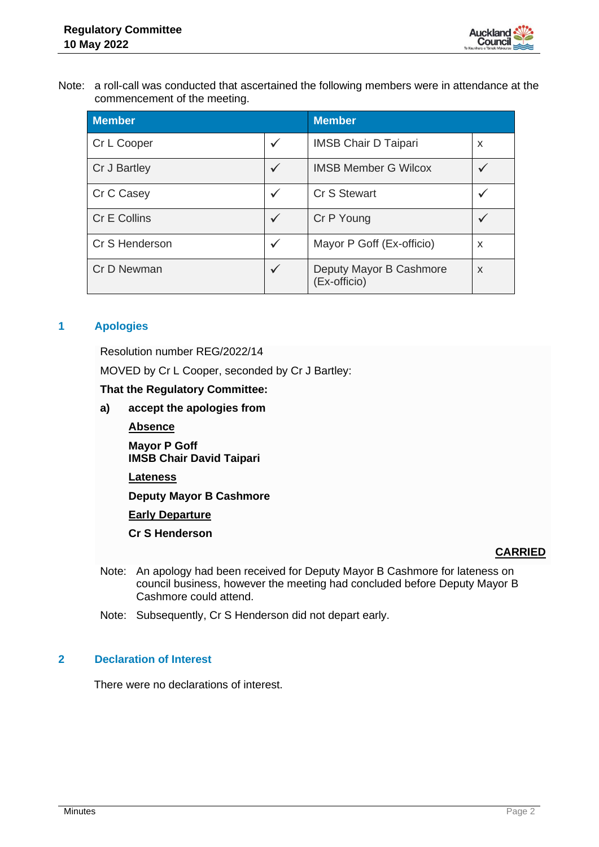

Note: a roll-call was conducted that ascertained the following members were in attendance at the commencement of the meeting.

| <b>Member</b>  |              | <b>Member</b>                           |   |
|----------------|--------------|-----------------------------------------|---|
| Cr L Cooper    | $\checkmark$ | <b>IMSB Chair D Taipari</b>             | x |
| Cr J Bartley   | $\checkmark$ | <b>IMSB Member G Wilcox</b>             |   |
| Cr C Casey     | ✓            | Cr S Stewart                            |   |
| Cr E Collins   | $\checkmark$ | Cr P Young                              |   |
| Cr S Henderson | $\checkmark$ | Mayor P Goff (Ex-officio)               | X |
| Cr D Newman    | $\checkmark$ | Deputy Mayor B Cashmore<br>(Ex-officio) | X |

# **1 Apologies**

Resolution number REG/2022/14

MOVED by Cr L Cooper, seconded by Cr J Bartley:

**That the Regulatory Committee:**

- **a) accept the apologies from**
	- **Absence**

**Mayor P Goff IMSB Chair David Taipari**

**Lateness**

**Deputy Mayor B Cashmore**

**Early Departure**

**Cr S Henderson**

#### **CARRIED**

- Note: An apology had been received for Deputy Mayor B Cashmore for lateness on council business, however the meeting had concluded before Deputy Mayor B Cashmore could attend.
- Note: Subsequently, Cr S Henderson did not depart early.

# **2 Declaration of Interest**

There were no declarations of interest.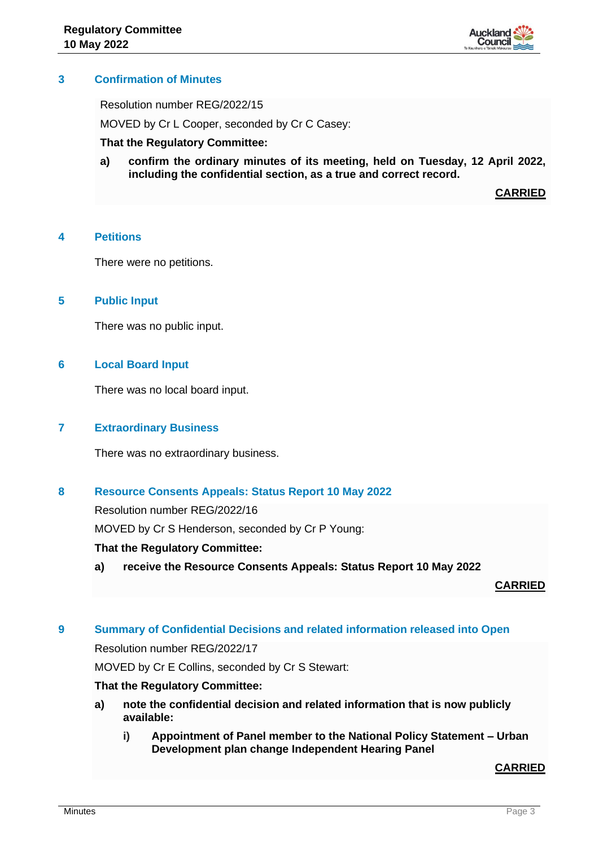

# **3 Confirmation of Minutes**

Resolution number REG/2022/15

MOVED by Cr L Cooper, seconded by Cr C Casey:

#### **That the Regulatory Committee:**

**a) confirm the ordinary minutes of its meeting, held on Tuesday, 12 April 2022, including the confidential section, as a true and correct record.**

**CARRIED**

## **4 Petitions**

There were no petitions.

#### **5 Public Input**

There was no public input.

#### **6 Local Board Input**

There was no local board input.

# **7 Extraordinary Business**

There was no extraordinary business.

## **8 Resource Consents Appeals: Status Report 10 May 2022**

Resolution number REG/2022/16

MOVED by Cr S Henderson, seconded by Cr P Young:

#### **That the Regulatory Committee:**

**a) receive the Resource Consents Appeals: Status Report 10 May 2022**

**CARRIED**

#### **9 Summary of Confidential Decisions and related information released into Open**

Resolution number REG/2022/17

MOVED by Cr E Collins, seconded by Cr S Stewart:

#### **That the Regulatory Committee:**

- **a) note the confidential decision and related information that is now publicly available:**
	- **i) Appointment of Panel member to the National Policy Statement – Urban Development plan change Independent Hearing Panel**

**CARRIED**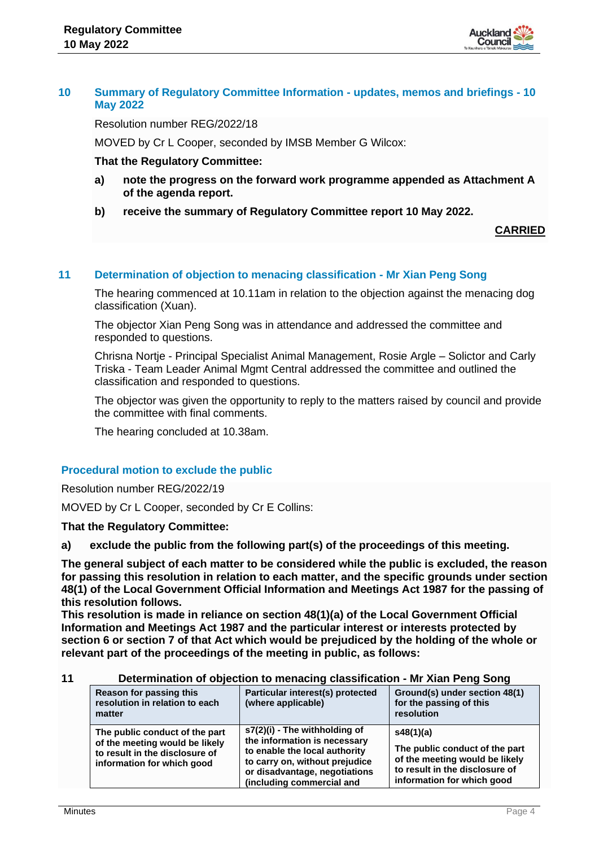

# **10 Summary of Regulatory Committee Information - updates, memos and briefings - 10 May 2022**

Resolution number REG/2022/18

MOVED by Cr L Cooper, seconded by IMSB Member G Wilcox:

## **That the Regulatory Committee:**

- **a) note the progress on the forward work programme appended as Attachment A of the agenda report.**
- **b) receive the summary of Regulatory Committee report 10 May 2022.**

## **CARRIED**

## **11 Determination of objection to menacing classification - Mr Xian Peng Song**

The hearing commenced at 10.11am in relation to the objection against the menacing dog classification (Xuan).

The objector Xian Peng Song was in attendance and addressed the committee and responded to questions.

Chrisna Nortje - Principal Specialist Animal Management, Rosie Argle – Solictor and Carly Triska - Team Leader Animal Mgmt Central addressed the committee and outlined the classification and responded to questions.

The objector was given the opportunity to reply to the matters raised by council and provide the committee with final comments.

The hearing concluded at 10.38am.

# **Procedural motion to exclude the public**

Resolution number REG/2022/19

MOVED by Cr L Cooper, seconded by Cr E Collins:

#### **That the Regulatory Committee:**

**a) exclude the public from the following part(s) of the proceedings of this meeting.**

**The general subject of each matter to be considered while the public is excluded, the reason for passing this resolution in relation to each matter, and the specific grounds under section 48(1) of the Local Government Official Information and Meetings Act 1987 for the passing of this resolution follows.** 

**This resolution is made in reliance on section 48(1)(a) of the Local Government Official Information and Meetings Act 1987 and the particular interest or interests protected by section 6 or section 7 of that Act which would be prejudiced by the holding of the whole or relevant part of the proceedings of the meeting in public, as follows:**

#### **11 Determination of objection to menacing classification - Mr Xian Peng Song**

| Reason for passing this<br>resolution in relation to each<br>matter                                                              | Particular interest(s) protected<br>(where applicable)                                                                                                                                         | Ground(s) under section 48(1)<br>for the passing of this<br>resolution                                                                        |
|----------------------------------------------------------------------------------------------------------------------------------|------------------------------------------------------------------------------------------------------------------------------------------------------------------------------------------------|-----------------------------------------------------------------------------------------------------------------------------------------------|
| The public conduct of the part<br>of the meeting would be likely<br>to result in the disclosure of<br>information for which good | s7(2)(i) - The withholding of<br>the information is necessary<br>to enable the local authority<br>to carry on, without prejudice<br>or disadvantage, negotiations<br>(including commercial and | s48(1)(a)<br>The public conduct of the part<br>of the meeting would be likely<br>to result in the disclosure of<br>information for which good |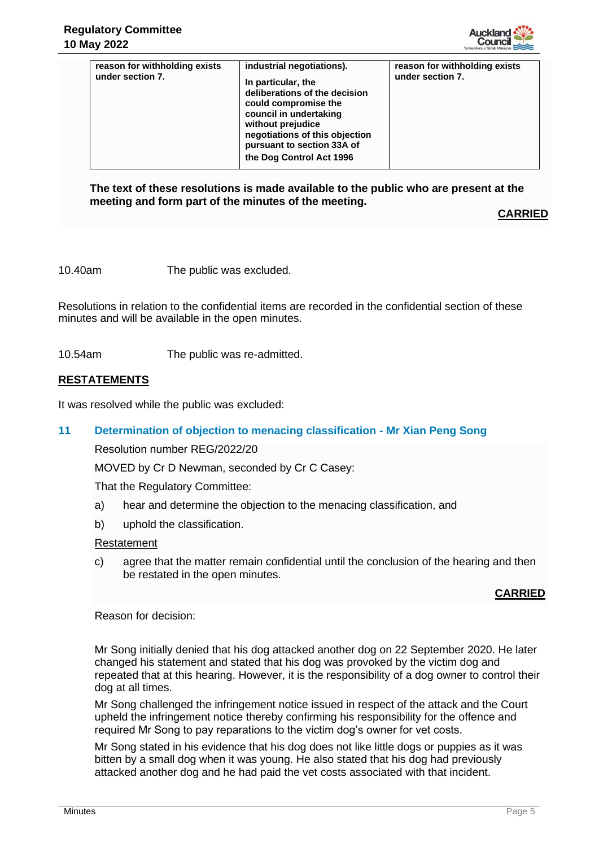

| reason for withholding exists<br>under section 7. | industrial negotiations).<br>In particular, the<br>deliberations of the decision<br>could compromise the<br>council in undertaking<br>without prejudice<br>negotiations of this objection<br>pursuant to section 33A of<br>the Dog Control Act 1996 | reason for withholding exists<br>under section 7. |
|---------------------------------------------------|-----------------------------------------------------------------------------------------------------------------------------------------------------------------------------------------------------------------------------------------------------|---------------------------------------------------|
|                                                   |                                                                                                                                                                                                                                                     |                                                   |

**The text of these resolutions is made available to the public who are present at the meeting and form part of the minutes of the meeting.**

**CARRIED**

10.40am The public was excluded.

Resolutions in relation to the confidential items are recorded in the confidential section of these minutes and will be available in the open minutes.

10.54am The public was re-admitted.

## **RESTATEMENTS**

It was resolved while the public was excluded:

### **11 Determination of objection to menacing classification - Mr Xian Peng Song**

Resolution number REG/2022/20

MOVED by Cr D Newman, seconded by Cr C Casey:

That the Regulatory Committee:

- a) hear and determine the objection to the menacing classification, and
- b) uphold the classification.

#### Restatement

c) agree that the matter remain confidential until the conclusion of the hearing and then be restated in the open minutes.

#### **CARRIED**

Reason for decision:

Mr Song initially denied that his dog attacked another dog on 22 September 2020. He later changed his statement and stated that his dog was provoked by the victim dog and repeated that at this hearing. However, it is the responsibility of a dog owner to control their dog at all times.

Mr Song challenged the infringement notice issued in respect of the attack and the Court upheld the infringement notice thereby confirming his responsibility for the offence and required Mr Song to pay reparations to the victim dog's owner for vet costs.

Mr Song stated in his evidence that his dog does not like little dogs or puppies as it was bitten by a small dog when it was young. He also stated that his dog had previously attacked another dog and he had paid the vet costs associated with that incident.